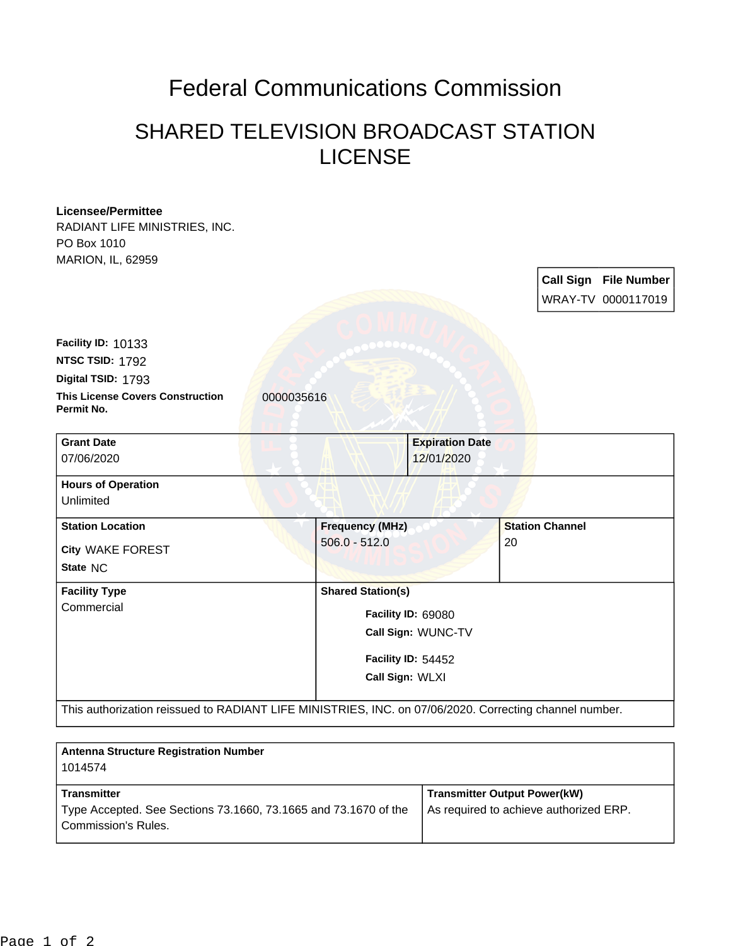## Federal Communications Commission

## SHARED TELEVISION BROADCAST STATION LICENSE

| <b>Licensee/Permittee</b><br>RADIANT LIFE MINISTRIES, INC.                                             |                    |                                       |  |                        |                                                    |  |
|--------------------------------------------------------------------------------------------------------|--------------------|---------------------------------------|--|------------------------|----------------------------------------------------|--|
| PO Box 1010<br>MARION, IL, 62959                                                                       |                    |                                       |  |                        |                                                    |  |
|                                                                                                        |                    |                                       |  |                        | <b>Call Sign File Number</b><br>WRAY-TV 0000117019 |  |
| Facility ID: 10133                                                                                     |                    |                                       |  |                        |                                                    |  |
| NTSC TSID: 1792                                                                                        |                    |                                       |  |                        |                                                    |  |
| Digital TSID: 1793                                                                                     |                    |                                       |  |                        |                                                    |  |
| <b>This License Covers Construction</b><br>0000035616<br>Permit No.                                    |                    |                                       |  |                        |                                                    |  |
| <b>Grant Date</b>                                                                                      |                    | <b>Expiration Date</b>                |  |                        |                                                    |  |
| 07/06/2020                                                                                             |                    | 12/01/2020                            |  |                        |                                                    |  |
| <b>Hours of Operation</b>                                                                              |                    |                                       |  |                        |                                                    |  |
| Unlimited                                                                                              |                    |                                       |  |                        |                                                    |  |
| <b>Station Location</b>                                                                                |                    | <b>Frequency (MHz)</b>                |  | <b>Station Channel</b> |                                                    |  |
| City WAKE FOREST                                                                                       | $506.0 - 512.0$    |                                       |  | 20                     |                                                    |  |
| State NC                                                                                               |                    |                                       |  |                        |                                                    |  |
| <b>Facility Type</b>                                                                                   |                    | <b>Shared Station(s)</b>              |  |                        |                                                    |  |
| Commercial                                                                                             |                    | Facility ID: 69080                    |  |                        |                                                    |  |
|                                                                                                        | Call Sign: WUNC-TV |                                       |  |                        |                                                    |  |
|                                                                                                        |                    |                                       |  |                        |                                                    |  |
|                                                                                                        |                    | Facility ID: 54452<br>Call Sign: WLXI |  |                        |                                                    |  |
|                                                                                                        |                    |                                       |  |                        |                                                    |  |
| This authorization reissued to RADIANT LIFE MINISTRIES, INC. on 07/06/2020. Correcting channel number. |                    |                                       |  |                        |                                                    |  |

| <b>Antenna Structure Registration Number</b><br>1014574                                                             |                                                                               |
|---------------------------------------------------------------------------------------------------------------------|-------------------------------------------------------------------------------|
| <b>Transmitter</b><br>Type Accepted. See Sections 73.1660, 73.1665 and 73.1670 of the<br><b>Commission's Rules.</b> | <b>Transmitter Output Power(kW)</b><br>As required to achieve authorized ERP. |